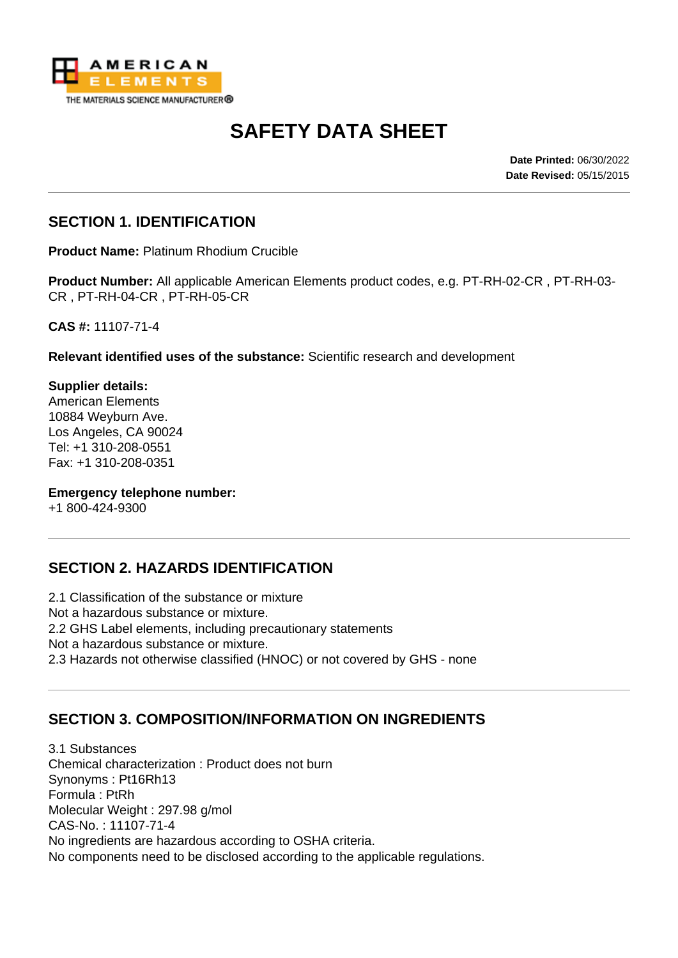

# **SAFETY DATA SHEET**

**Date Printed:** 06/30/2022 **Date Revised:** 05/15/2015

#### **SECTION 1. IDENTIFICATION**

**Product Name:** Platinum Rhodium Crucible

**Product Number:** All applicable American Elements product codes, e.g. PT-RH-02-CR , PT-RH-03- CR , PT-RH-04-CR , PT-RH-05-CR

**CAS #:** 11107-71-4

**Relevant identified uses of the substance:** Scientific research and development

**Supplier details:** American Elements 10884 Weyburn Ave. Los Angeles, CA 90024 Tel: +1 310-208-0551 Fax: +1 310-208-0351

**Emergency telephone number:**

+1 800-424-9300

# **SECTION 2. HAZARDS IDENTIFICATION**

2.1 Classification of the substance or mixture Not a hazardous substance or mixture. 2.2 GHS Label elements, including precautionary statements Not a hazardous substance or mixture. 2.3 Hazards not otherwise classified (HNOC) or not covered by GHS - none

# **SECTION 3. COMPOSITION/INFORMATION ON INGREDIENTS**

3.1 Substances Chemical characterization : Product does not burn Synonyms : Pt16Rh13 Formula : PtRh Molecular Weight : 297.98 g/mol CAS-No. : 11107-71-4 No ingredients are hazardous according to OSHA criteria. No components need to be disclosed according to the applicable regulations.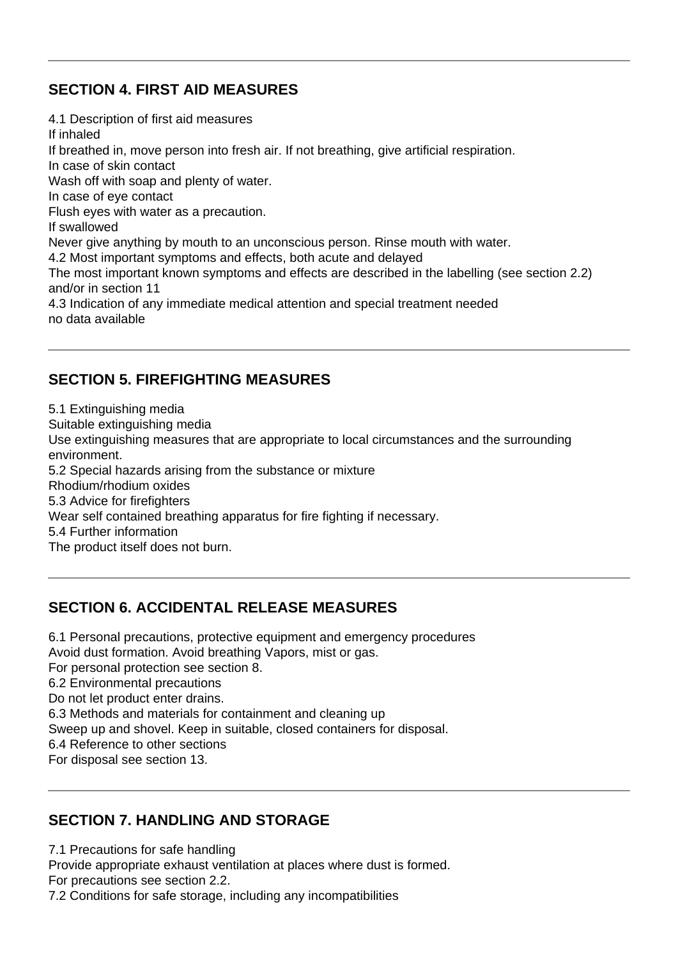#### **SECTION 4. FIRST AID MEASURES**

4.1 Description of first aid measures If inhaled If breathed in, move person into fresh air. If not breathing, give artificial respiration. In case of skin contact Wash off with soap and plenty of water. In case of eye contact Flush eyes with water as a precaution. If swallowed Never give anything by mouth to an unconscious person. Rinse mouth with water. 4.2 Most important symptoms and effects, both acute and delayed The most important known symptoms and effects are described in the labelling (see section 2.2) and/or in section 11 4.3 Indication of any immediate medical attention and special treatment needed no data available

#### **SECTION 5. FIREFIGHTING MEASURES**

5.1 Extinguishing media Suitable extinguishing media Use extinguishing measures that are appropriate to local circumstances and the surrounding environment. 5.2 Special hazards arising from the substance or mixture Rhodium/rhodium oxides 5.3 Advice for firefighters Wear self contained breathing apparatus for fire fighting if necessary. 5.4 Further information The product itself does not burn.

#### **SECTION 6. ACCIDENTAL RELEASE MEASURES**

6.1 Personal precautions, protective equipment and emergency procedures Avoid dust formation. Avoid breathing Vapors, mist or gas. For personal protection see section 8. 6.2 Environmental precautions Do not let product enter drains. 6.3 Methods and materials for containment and cleaning up Sweep up and shovel. Keep in suitable, closed containers for disposal. 6.4 Reference to other sections For disposal see section 13.

#### **SECTION 7. HANDLING AND STORAGE**

7.1 Precautions for safe handling

Provide appropriate exhaust ventilation at places where dust is formed.

For precautions see section 2.2.

7.2 Conditions for safe storage, including any incompatibilities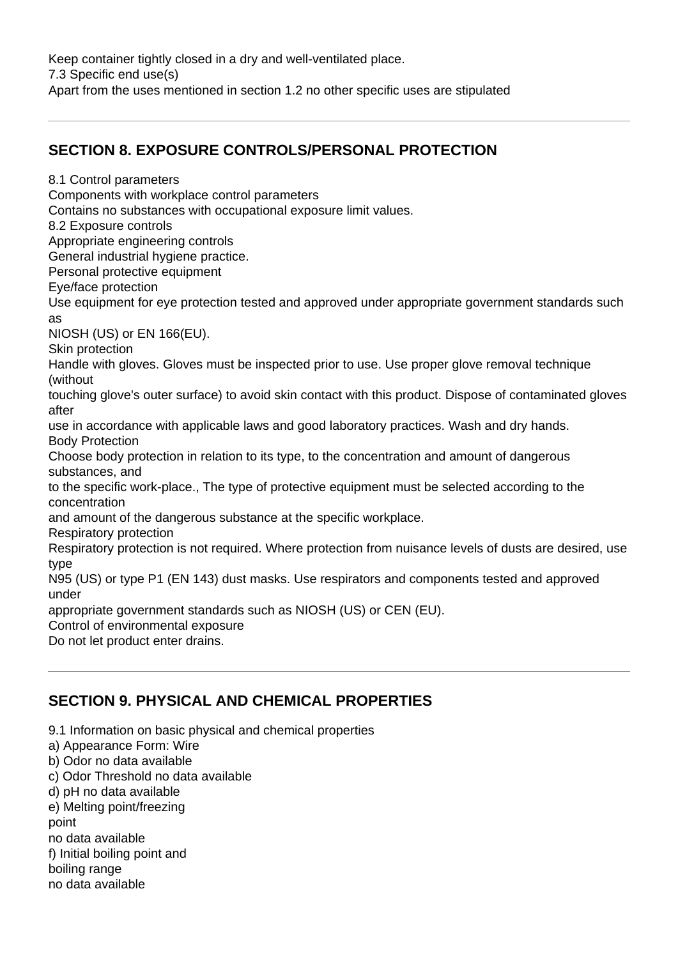Keep container tightly closed in a dry and well-ventilated place. 7.3 Specific end use(s) Apart from the uses mentioned in section 1.2 no other specific uses are stipulated

#### **SECTION 8. EXPOSURE CONTROLS/PERSONAL PROTECTION**

Contains no substances with occupational exposure limit values. 8.2 Exposure controls Appropriate engineering controls General industrial hygiene practice. Personal protective equipment Eye/face protection Use equipment for eye protection tested and approved under appropriate government standards such as NIOSH (US) or EN 166(EU). Skin protection Handle with gloves. Gloves must be inspected prior to use. Use proper glove removal technique (without touching glove's outer surface) to avoid skin contact with this product. Dispose of contaminated gloves after use in accordance with applicable laws and good laboratory practices. Wash and dry hands. Body Protection Choose body protection in relation to its type, to the concentration and amount of dangerous substances, and to the specific work-place., The type of protective equipment must be selected according to the concentration and amount of the dangerous substance at the specific workplace. Respiratory protection Respiratory protection is not required. Where protection from nuisance levels of dusts are desired, use type N95 (US) or type P1 (EN 143) dust masks. Use respirators and components tested and approved under appropriate government standards such as NIOSH (US) or CEN (EU). Control of environmental exposure

Do not let product enter drains.

8.1 Control parameters

Components with workplace control parameters

# **SECTION 9. PHYSICAL AND CHEMICAL PROPERTIES**

- 9.1 Information on basic physical and chemical properties
- a) Appearance Form: Wire
- b) Odor no data available
- c) Odor Threshold no data available
- d) pH no data available
- e) Melting point/freezing

point

no data available

f) Initial boiling point and

boiling range

no data available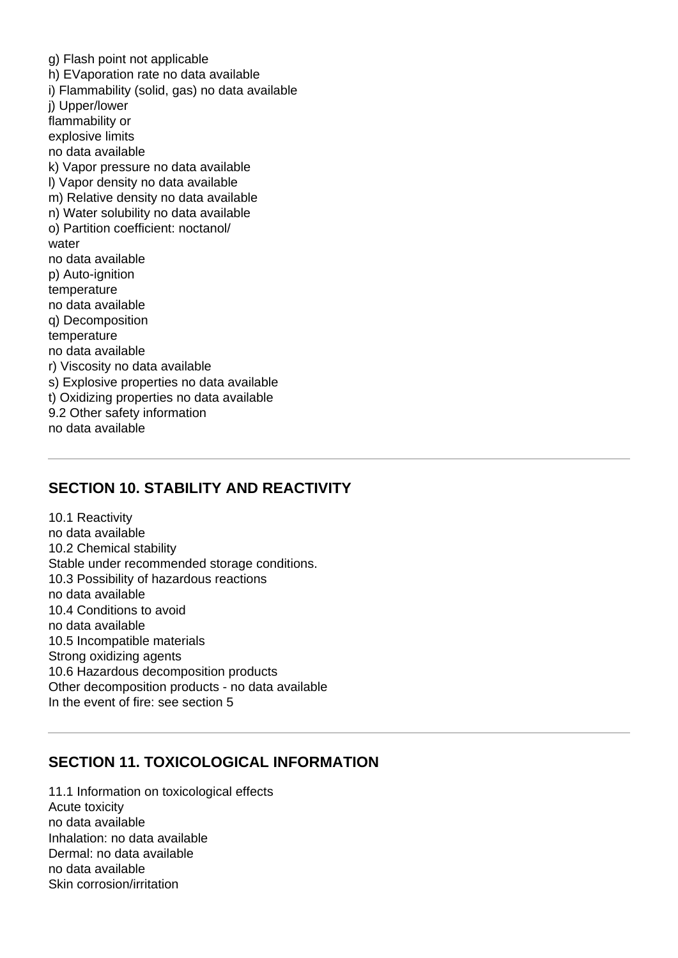g) Flash point not applicable h) EVaporation rate no data available i) Flammability (solid, gas) no data available j) Upper/lower flammability or explosive limits no data available k) Vapor pressure no data available l) Vapor density no data available m) Relative density no data available n) Water solubility no data available o) Partition coefficient: noctanol/ water no data available p) Auto-ignition temperature no data available q) Decomposition temperature no data available r) Viscosity no data available s) Explosive properties no data available t) Oxidizing properties no data available 9.2 Other safety information no data available

#### **SECTION 10. STABILITY AND REACTIVITY**

10.1 Reactivity no data available 10.2 Chemical stability Stable under recommended storage conditions. 10.3 Possibility of hazardous reactions no data available 10.4 Conditions to avoid no data available 10.5 Incompatible materials Strong oxidizing agents 10.6 Hazardous decomposition products Other decomposition products - no data available In the event of fire: see section 5

#### **SECTION 11. TOXICOLOGICAL INFORMATION**

11.1 Information on toxicological effects Acute toxicity no data available Inhalation: no data available Dermal: no data available no data available Skin corrosion/irritation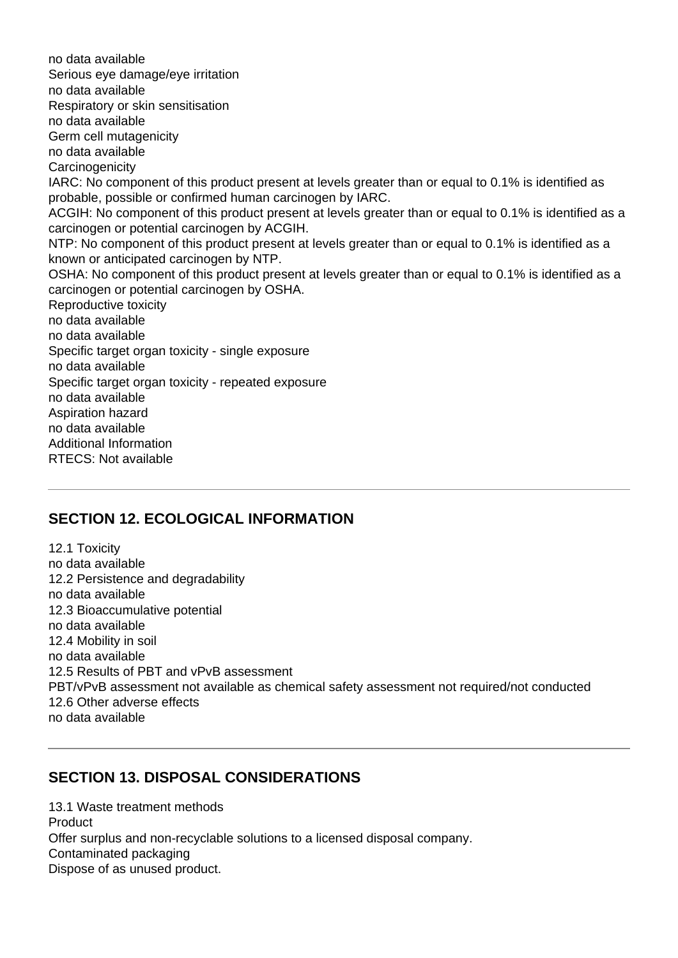no data available Serious eye damage/eye irritation no data available Respiratory or skin sensitisation no data available Germ cell mutagenicity no data available **Carcinogenicity** IARC: No component of this product present at levels greater than or equal to 0.1% is identified as probable, possible or confirmed human carcinogen by IARC. ACGIH: No component of this product present at levels greater than or equal to 0.1% is identified as a carcinogen or potential carcinogen by ACGIH. NTP: No component of this product present at levels greater than or equal to 0.1% is identified as a known or anticipated carcinogen by NTP. OSHA: No component of this product present at levels greater than or equal to 0.1% is identified as a carcinogen or potential carcinogen by OSHA. Reproductive toxicity no data available no data available Specific target organ toxicity - single exposure no data available Specific target organ toxicity - repeated exposure no data available Aspiration hazard no data available Additional Information RTECS: Not available

# **SECTION 12. ECOLOGICAL INFORMATION**

12.1 Toxicity no data available 12.2 Persistence and degradability no data available 12.3 Bioaccumulative potential no data available 12.4 Mobility in soil no data available 12.5 Results of PBT and vPvB assessment PBT/vPvB assessment not available as chemical safety assessment not required/not conducted 12.6 Other adverse effects no data available

# **SECTION 13. DISPOSAL CONSIDERATIONS**

13.1 Waste treatment methods Product Offer surplus and non-recyclable solutions to a licensed disposal company. Contaminated packaging Dispose of as unused product.